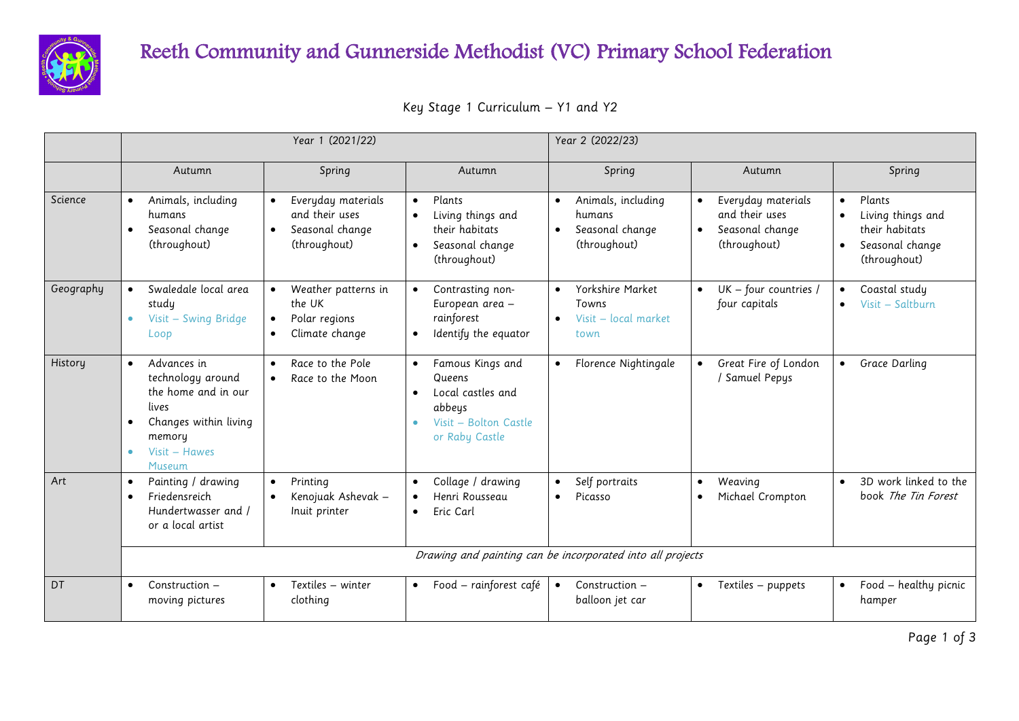

## Reeth Community and Gunnerside Methodist (VC) Primary School Federation

|  |  | Key Stage 1 Curriculum – Y1 and Y2 |  |  |  |
|--|--|------------------------------------|--|--|--|
|--|--|------------------------------------|--|--|--|

|           |                                                                                                                                                          | Year 1 (2021/22)                                                                                  |                                                                                                                                             | Year 2 (2022/23)                                                                    |                                                                                      |                                                                                                                         |  |  |
|-----------|----------------------------------------------------------------------------------------------------------------------------------------------------------|---------------------------------------------------------------------------------------------------|---------------------------------------------------------------------------------------------------------------------------------------------|-------------------------------------------------------------------------------------|--------------------------------------------------------------------------------------|-------------------------------------------------------------------------------------------------------------------------|--|--|
|           | Autumn                                                                                                                                                   | Spring                                                                                            | Autumn                                                                                                                                      | Spring                                                                              | Autumn                                                                               | Spring                                                                                                                  |  |  |
| Science   | Animals, including<br>$\bullet$<br>humans<br>Seasonal change<br>$\bullet$<br>(throughout)                                                                | Everyday materials<br>$\bullet$<br>and their uses<br>Seasonal change<br>$\bullet$<br>(throughout) | Plants<br>$\bullet$<br>Living things and<br>their habitats<br>Seasonal change<br>$\bullet$<br>(throughout)                                  | Animals, including<br>$\bullet$<br>humans<br>Seasonal change<br>(throughout)        | Everyday materials<br>and their uses<br>Seasonal change<br>$\bullet$<br>(throughout) | Plants<br>$\bullet$<br>Living things and<br>$\bullet$<br>their habitats<br>Seasonal change<br>$\bullet$<br>(throughout) |  |  |
| Geography | Swaledale local area<br>study<br>Visit - Swing Bridge<br>$\bullet$<br>Loop                                                                               | Weather patterns in<br>the UK<br>Polar regions<br>$\bullet$<br>Climate change<br>$\bullet$        | Contrasting non-<br>$\bullet$<br>European area -<br>rainforest<br>Identify the equator<br>$\bullet$                                         | Yorkshire Market<br>$\bullet$<br>Towns<br>Visit - local market<br>$\bullet$<br>town | UK - four countries /<br>four capitals                                               | Coastal study<br>$\bullet$<br>Visit - Saltburn<br>$\bullet$                                                             |  |  |
| History   | Advances in<br>$\bullet$<br>technology around<br>the home and in our<br>lives<br>Changes within living<br>memory<br>Visit - Hawes<br>$\bullet$<br>Museum | Race to the Pole<br>$\bullet$<br>Race to the Moon<br>$\bullet$                                    | Famous Kings and<br>$\bullet$<br>Queens<br>Local castles and<br>$\bullet$<br>abbeys<br>Visit - Bolton Castle<br>$\bullet$<br>or Raby Castle | Florence Nightingale                                                                | Great Fire of London<br>/ Samuel Pepys                                               | Grace Darling<br>$\bullet$                                                                                              |  |  |
| Art       | Painting / drawing<br>$\bullet$<br>Friedensreich<br>$\bullet$<br>Hundertwasser and /<br>or a local artist                                                | Printing<br>$\bullet$<br>Kenojuak Ashevak -<br>$\bullet$<br>Inuit printer                         | Collage / drawing<br>Henri Rousseau<br>$\bullet$<br>Eric Carl<br>$\bullet$                                                                  | Self portraits<br>Picasso<br>$\bullet$                                              | Weaving<br>$\bullet$<br>Michael Crompton<br>$\bullet$                                | 3D work linked to the<br>book The Tin Forest                                                                            |  |  |
|           | Drawing and painting can be incorporated into all projects                                                                                               |                                                                                                   |                                                                                                                                             |                                                                                     |                                                                                      |                                                                                                                         |  |  |
| DT        | Construction -<br>$\bullet$<br>moving pictures                                                                                                           | Textiles – winter<br>$\bullet$<br>clothing                                                        | Food - rainforest café<br>$\bullet$                                                                                                         | Construction -<br>$\bullet$<br>balloon jet car                                      | Textiles - puppets<br>$\bullet$                                                      | Food - healthy picnic<br>$\bullet$<br>hamper                                                                            |  |  |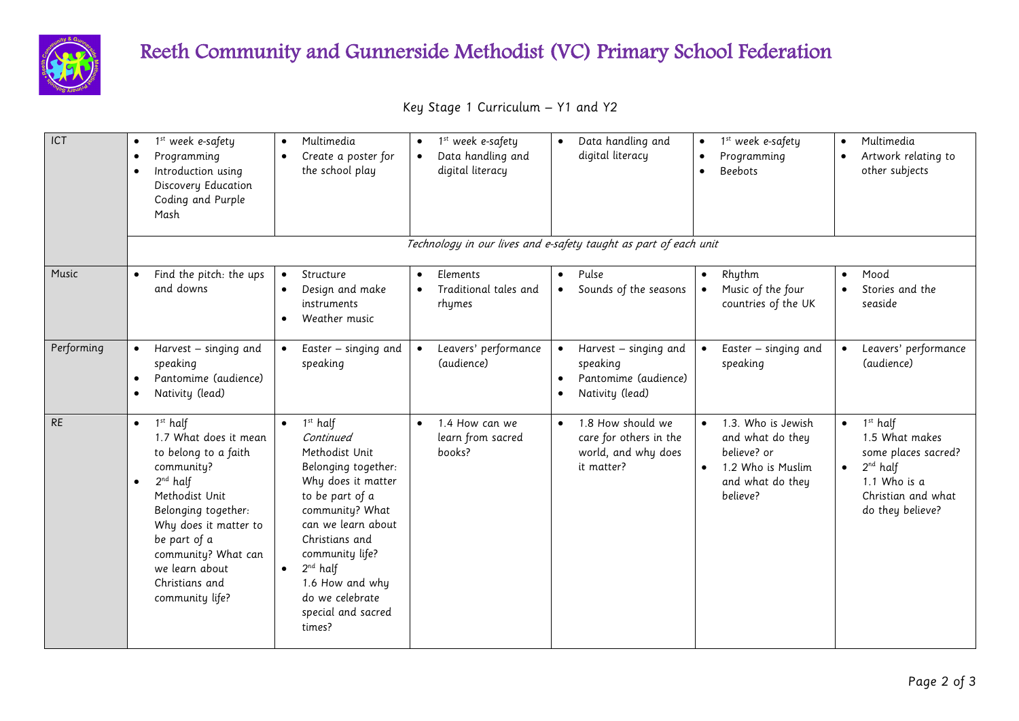

## Reeth Community and Gunnerside Methodist (VC) Primary School Federation

|  |  | Key Stage 1 Curriculum - Y1 and Y2 |  |  |  |  |
|--|--|------------------------------------|--|--|--|--|
|--|--|------------------------------------|--|--|--|--|

| ICT        | 1 <sup>st</sup> week e-safety<br>$\bullet$<br>Programming<br>$\bullet$<br>Introduction using<br>$\bullet$<br>Discovery Education<br>Coding and Purple<br>Mash                                                                                                                                  | Multimedia<br>$\bullet$<br>Create a poster for<br>$\bullet$<br>the school play                                                                                                                                                                                                                           | 1 <sup>st</sup> week e-safety<br>$\bullet$<br>Data handling and<br>$\bullet$<br>digital literacy | Data handling and<br>$\bullet$<br>digital literacy                                                                  | 1 <sup>st</sup> week e-safety<br>$\bullet$<br>Programming<br><b>Beebots</b><br>$\bullet$                                             | Multimedia<br>$\bullet$<br>Artwork relating to<br>other subjects                                                                                         |
|------------|------------------------------------------------------------------------------------------------------------------------------------------------------------------------------------------------------------------------------------------------------------------------------------------------|----------------------------------------------------------------------------------------------------------------------------------------------------------------------------------------------------------------------------------------------------------------------------------------------------------|--------------------------------------------------------------------------------------------------|---------------------------------------------------------------------------------------------------------------------|--------------------------------------------------------------------------------------------------------------------------------------|----------------------------------------------------------------------------------------------------------------------------------------------------------|
|            |                                                                                                                                                                                                                                                                                                |                                                                                                                                                                                                                                                                                                          |                                                                                                  | Technology in our lives and e-safety taught as part of each unit                                                    |                                                                                                                                      |                                                                                                                                                          |
| Music      | Find the pitch: the ups<br>$\bullet$<br>and downs                                                                                                                                                                                                                                              | Structure<br>$\bullet$<br>Design and make<br>$\bullet$<br>instruments<br>Weather music<br>$\bullet$                                                                                                                                                                                                      | Elements<br>$\bullet$<br>Traditional tales and<br>$\bullet$<br>rhymes                            | Pulse<br>$\bullet$<br>Sounds of the seasons<br>$\bullet$                                                            | Rhythm<br>$\bullet$<br>Music of the four<br>countries of the UK                                                                      | Mood<br>$\bullet$<br>Stories and the<br>seaside                                                                                                          |
| Performing | Harvest - singing and<br>speaking<br>Pantomime (audience)<br>$\bullet$<br>Nativity (lead)<br>$\bullet$                                                                                                                                                                                         | Easter – singing and<br>speaking                                                                                                                                                                                                                                                                         | Leavers' performance<br>$\bullet$<br>(audience)                                                  | Harvest – singing and<br>$\bullet$<br>speaking<br>Pantomime (audience)<br>$\bullet$<br>Nativity (lead)<br>$\bullet$ | Easter - singing and<br>$\bullet$<br>speaking                                                                                        | Leavers' performance<br>$\bullet$<br>(audience)                                                                                                          |
| <b>RE</b>  | 1 <sup>st</sup> half<br>$\bullet$<br>1.7 What does it mean<br>to belong to a faith<br>community?<br>$2^{nd}$ half<br>$\bullet$<br>Methodist Unit<br>Belonging together:<br>Why does it matter to<br>be part of a<br>community? What can<br>we learn about<br>Christians and<br>community life? | $1st$ half<br>$\bullet$<br>Continued<br>Methodist Unit<br>Belonging together:<br>Why does it matter<br>to be part of a<br>community? What<br>can we learn about<br>Christians and<br>community life?<br>$2^{nd}$ half<br>$\bullet$<br>1.6 How and why<br>do we celebrate<br>special and sacred<br>times? | 1.4 How can we<br>$\bullet$<br>learn from sacred<br>books?                                       | 1.8 How should we<br>$\bullet$<br>care for others in the<br>world, and why does<br>it matter?                       | 1.3. Who is Jewish<br>$\bullet$<br>and what do they<br>believe? or<br>1.2 Who is Muslim<br>$\bullet$<br>and what do they<br>believe? | $1st$ half<br>$\bullet$<br>1.5 What makes<br>some places sacred?<br>$2^{nd}$ half<br>$\bullet$<br>1.1 Who is a<br>Christian and what<br>do they believe? |